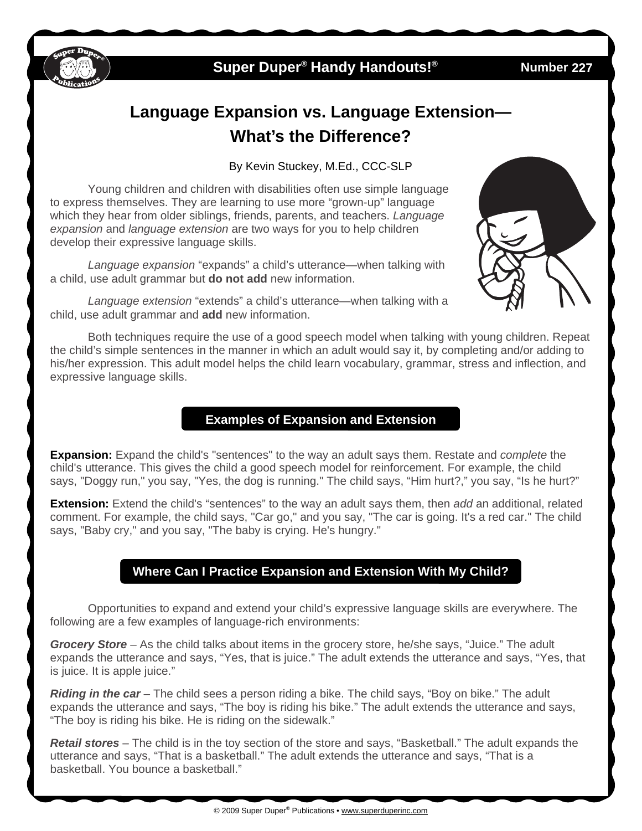

## **Super Duper<sup>®</sup> Handy Handouts!<sup>®</sup>**

**227** 

# **Language Expansion vs. Language Extension— What's the Difference?**

By Kevin Stuckey, M.Ed., CCC-SLP

 Young children and children with disabilities often use simple language to express themselves. They are learning to use more "grown-up" language which they hear from older siblings, friends, parents, and teachers. *Language expansion* and *language extension* are two ways for you to help children develop their expressive language skills.

*Language expansion* "expands" a child's utterance—when talking with a child, use adult grammar but **do not add** new information.

*Language extension* "extends" a child's utterance—when talking with a child, use adult grammar and **add** new information.

Both techniques require the use of a good speech model when talking with young children. Repeat the child's simple sentences in the manner in which an adult would say it, by completing and/or adding to his/her expression. This adult model helps the child learn vocabulary, grammar, stress and inflection, and expressive language skills.

#### **Examples of Expansion and Extension**

**Expansion:** Expand the child's "sentences" to the way an adult says them. Restate and *complete* the child's utterance. This gives the child a good speech model for reinforcement. For example, the child says, "Doggy run," you say, "Yes, the dog is running." The child says, "Him hurt?," you say, "Is he hurt?"

**Extension:** Extend the child's "sentences" to the way an adult says them, then *add* an additional, related comment. For example, the child says, "Car go," and you say, "The car is going. It's a red car." The child says, "Baby cry," and you say, "The baby is crying. He's hungry."

#### **Where Can I Practice Expansion and Extension With My Child?**

Opportunities to expand and extend your child's expressive language skills are everywhere. The following are a few examples of language-rich environments:

*Grocery Store* – As the child talks about items in the grocery store, he/she says, "Juice." The adult expands the utterance and says, "Yes, that is juice." The adult extends the utterance and says, "Yes, that is juice. It is apple juice."

*Riding in the car* – The child sees a person riding a bike. The child says, "Boy on bike." The adult expands the utterance and says, "The boy is riding his bike." The adult extends the utterance and says, "The boy is riding his bike. He is riding on the sidewalk."

*Retail stores* – The child is in the toy section of the store and says, "Basketball." The adult expands the utterance and says, "That is a basketball." The adult extends the utterance and says, "That is a basketball. You bounce a basketball."